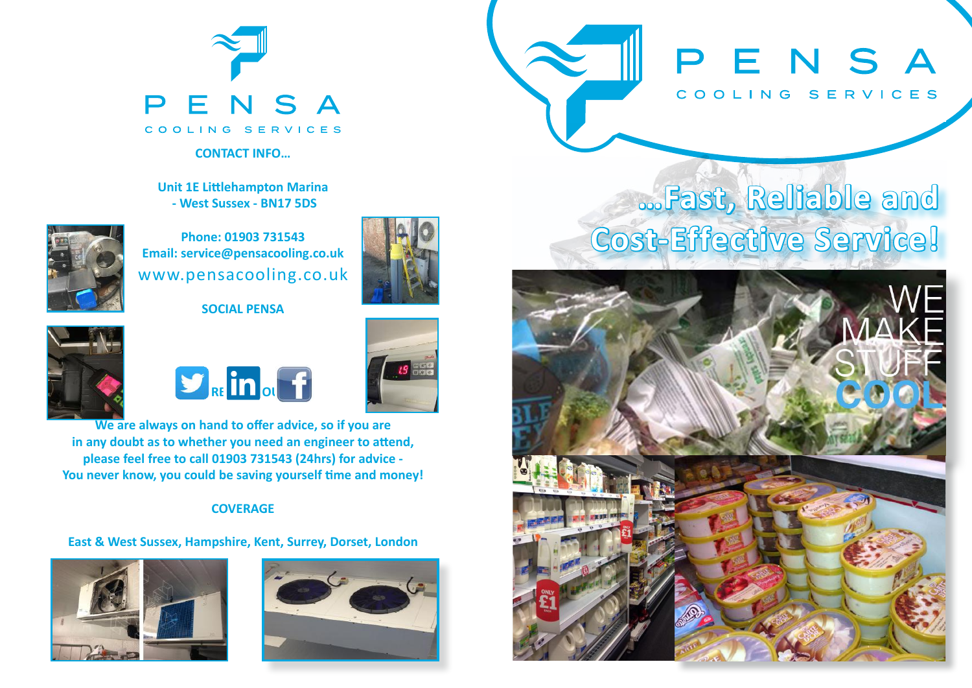

#### **CONTACT INFO…**

**Unit 1E Littlehampton Marina - West Sussex - BN17 5DS**



**Phone: 01903 731543 Email: service@pensacooling.co.uk** www.pensacooling.co.uk

#### **SOCIAL PENSA**



 $H_{RF}$ in<sub>ol</sub>f



**We are always on hand to offer advice, so if you are in any doubt as to whether you need an engineer to attend, please feel free to call 01903 731543 (24hrs) for advice - You never know, you could be saving yourself time and money!**

#### **COVERAGE**

#### **East & West Sussex, Hampshire, Kent, Surrey, Dorset, London**





PENSA COOLING SERVICES

# **…Fast, Reliable and Cost-Effective Service!**